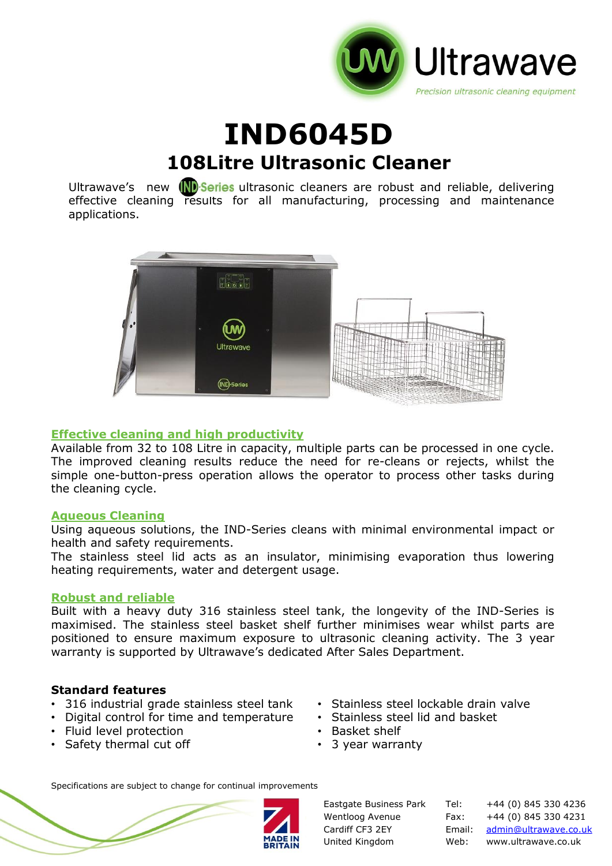

# **IND6045D 108Litre Ultrasonic Cleaner**

Ultrawave's new **ND** Series ultrasonic cleaners are robust and reliable, delivering effective cleaning results for all manufacturing, processing and maintenance applications.



### **Effective cleaning and high productivity**

Available from 32 to 108 Litre in capacity, multiple parts can be processed in one cycle. The improved cleaning results reduce the need for re-cleans or rejects, whilst the simple one-button-press operation allows the operator to process other tasks during the cleaning cycle.

### **Aqueous Cleaning**

Using aqueous solutions, the IND-Series cleans with minimal environmental impact or health and safety requirements.

The stainless steel lid acts as an insulator, minimising evaporation thus lowering heating requirements, water and detergent usage.

### **Robust and reliable**

Built with a heavy duty 316 stainless steel tank, the longevity of the IND-Series is maximised. The stainless steel basket shelf further minimises wear whilst parts are positioned to ensure maximum exposure to ultrasonic cleaning activity. The 3 year warranty is supported by Ultrawave's dedicated After Sales Department.

#### **Standard features**

- 316 industrial grade stainless steel tank
- Digital control for time and temperature
- Fluid level protection
- Safety thermal cut off
- Stainless steel lockable drain valve
- Stainless steel lid and basket
- Basket shelf
- 3 year warranty

Specifications are subject to change for continual improvements



Eastgate Business Park Tel: +44 (0) 845 330 4236 Wentloog Avenue Fax: +44 (0) 845 330 4231 Cardiff CF3 2EY Email: [admin@ultrawave.co.uk](mailto:admin@ultrawave.co.uk) United Kingdom Web: www.ultrawave.co.uk